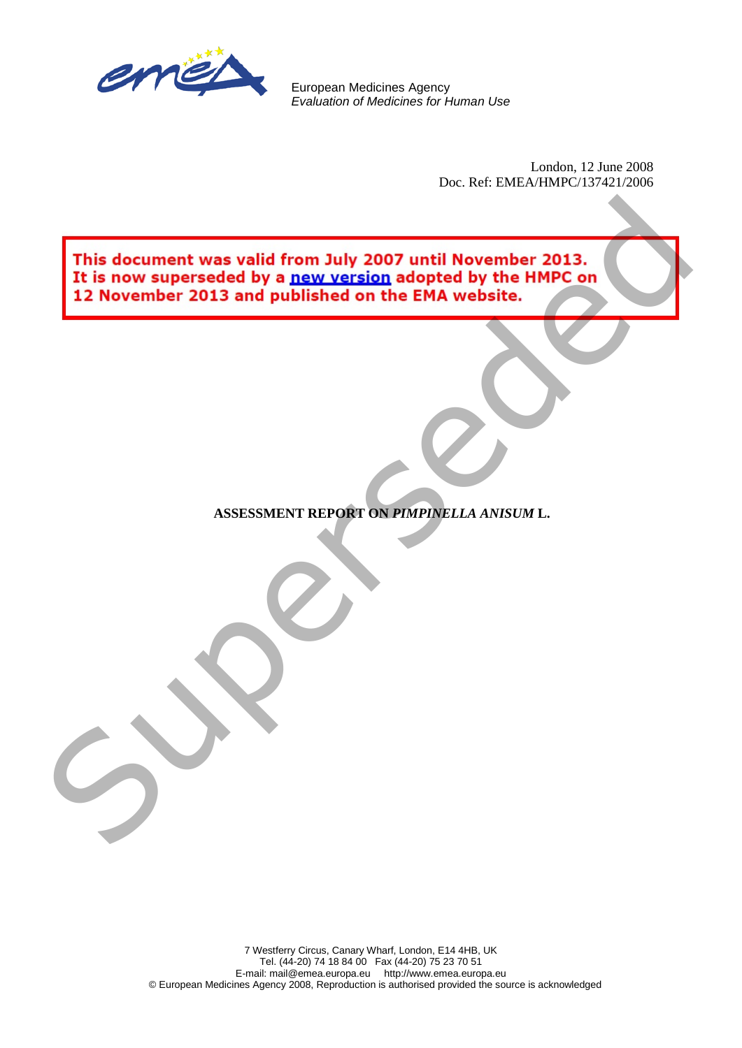

European Medicines Agency *Evaluation of Medicines for Human Use*

> London, 12 June 2008 Doc. Ref: EMEA/HMPC/137421/2006

This document was valid from July 2007 until November 2013.<br>It is now superseded by a new version adopted by the HMPC or<br>12 November 2013 and published on the EMA website.<br>ASSESSMENT REPORT ON FRIFINGLIA AVISUAL.

**ASSESSMENT REPORT ON** *PIMPINELLA ANISUM* **L.**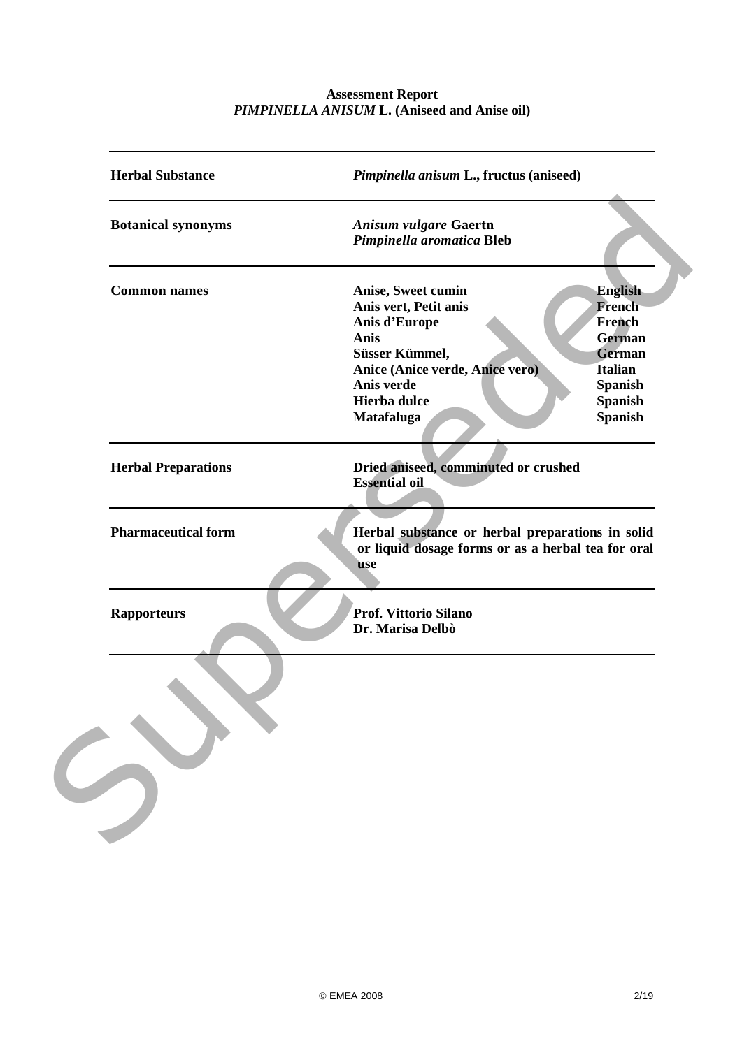# **Assessment Report** *PIMPINELLA ANISUM* **L. (Aniseed and Anise oil)**

| <b>Herbal Substance</b>    | Pimpinella anisum L., fructus (aniseed)                   |                |
|----------------------------|-----------------------------------------------------------|----------------|
| <b>Botanical synonyms</b>  | <b>Anisum vulgare Gaertn</b><br>Pimpinella aromatica Bleb |                |
| <b>Common names</b>        | Anise, Sweet cumin                                        | <b>English</b> |
|                            | Anis vert, Petit anis                                     | <b>French</b>  |
|                            | Anis d'Europe                                             | French         |
|                            | <b>Anis</b>                                               | <b>German</b>  |
|                            | Süsser Kümmel,                                            | <b>German</b>  |
|                            | Anice (Anice verde, Anice vero)                           | <b>Italian</b> |
|                            | Anis verde                                                | <b>Spanish</b> |
|                            | <b>Hierba dulce</b>                                       | <b>Spanish</b> |
|                            | Matafaluga                                                | <b>Spanish</b> |
| <b>Herbal Preparations</b> | Dried aniseed, comminuted or crushed                      |                |
|                            | <b>Essential oil</b>                                      |                |
|                            |                                                           |                |
|                            |                                                           |                |
| <b>Pharmaceutical form</b> | Herbal substance or herbal preparations in solid          |                |
|                            | or liquid dosage forms or as a herbal tea for oral        |                |
|                            | use                                                       |                |
|                            |                                                           |                |
|                            |                                                           |                |
| <b>Rapporteurs</b>         | Prof. Vittorio Silano                                     |                |
|                            | Dr. Marisa Delbò                                          |                |
|                            |                                                           |                |
|                            |                                                           |                |
|                            |                                                           |                |
|                            |                                                           |                |
|                            |                                                           |                |
|                            |                                                           |                |
|                            |                                                           |                |
|                            |                                                           |                |
|                            |                                                           |                |
|                            |                                                           |                |
|                            |                                                           |                |
|                            |                                                           |                |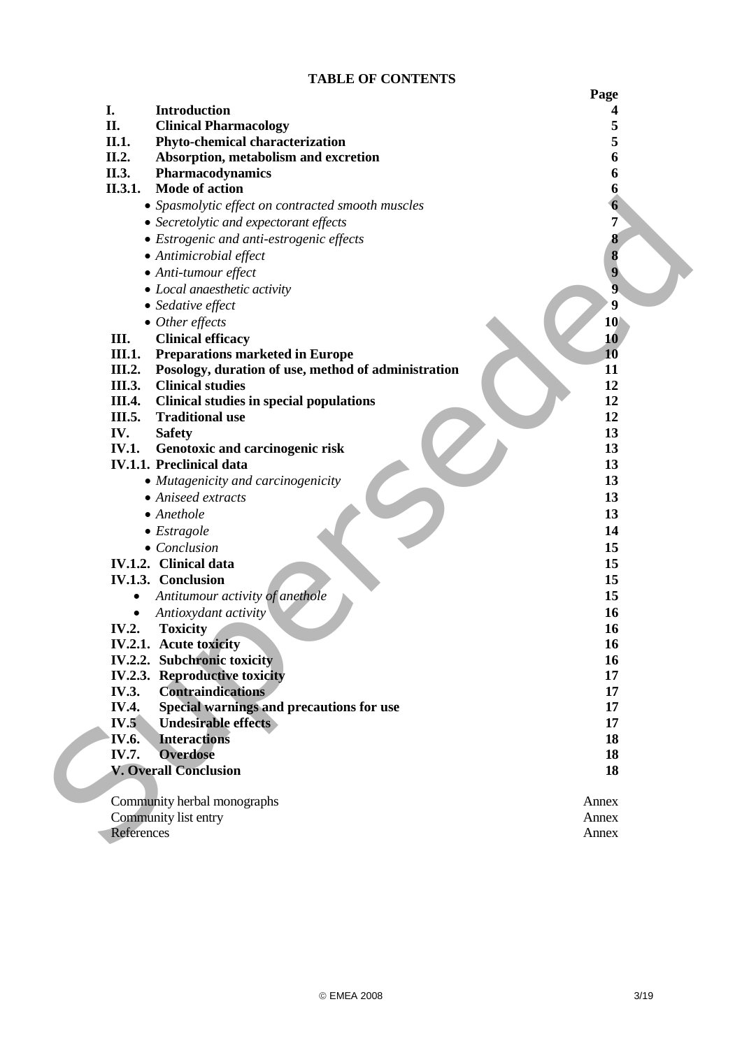# **TABLE OF CONTENTS**

|                     |                                                                    | Page           |
|---------------------|--------------------------------------------------------------------|----------------|
| I.                  | Introduction                                                       |                |
| II.                 | <b>Clinical Pharmacology</b>                                       | 5              |
| II.1.               | Phyto-chemical characterization                                    | 5              |
| II.2.               | Absorption, metabolism and excretion                               | 6              |
| II.3.               | Pharmacodynamics                                                   | 6              |
| II.3.1.             | <b>Mode of action</b>                                              | 6              |
|                     | • Spasmolytic effect on contracted smooth muscles                  | 6              |
|                     | • Secretolytic and expectorant effects                             | 7              |
|                     | • Estrogenic and anti-estrogenic effects                           | 8              |
|                     | • Antimicrobial effect                                             | 8              |
|                     | • Anti-tumour effect                                               | 9              |
|                     | • Local anaesthetic activity                                       | $\overline{9}$ |
|                     | • Sedative effect                                                  | 9              |
|                     | $\bullet$ Other effects                                            | 10             |
| Ш.                  | <b>Clinical efficacy</b>                                           | 10             |
| <b>III.1.</b>       | <b>Preparations marketed in Europe</b>                             | 10             |
| III.2.              | Posology, duration of use, method of administration                | 11             |
| <b>III.3.</b>       | <b>Clinical studies</b>                                            | 12             |
| <b>III.4.</b>       | <b>Clinical studies in special populations</b>                     | 12             |
| III.5.              | <b>Traditional use</b>                                             | 12             |
| IV.<br><b>IV.1.</b> | <b>Safety</b>                                                      | 13<br>13       |
|                     | Genotoxic and carcinogenic risk<br><b>IV.1.1. Preclinical data</b> | 13             |
|                     | • Mutagenicity and carcinogenicity                                 | 13             |
|                     | • Aniseed extracts                                                 | 13             |
|                     | $\bullet$ Anethole                                                 | 13             |
|                     | $\bullet$ Estragole                                                | 14             |
|                     | $\bullet$ Conclusion                                               | 15             |
|                     | <b>IV.1.2.</b> Clinical data                                       | 15             |
|                     | IV.1.3. Conclusion                                                 | 15             |
|                     | Antitumour activity of anethole                                    | 15             |
|                     | Antioxydant activity                                               | 16             |
| <b>IV.2.</b>        | <b>Toxicity</b>                                                    | 16             |
|                     | IV.2.1. Acute toxicity                                             | 16             |
|                     | <b>IV.2.2.</b> Subchronic toxicity                                 | 16             |
|                     | <b>IV.2.3. Reproductive toxicity</b>                               | 17             |
| <b>IV.3.</b>        | <b>Contraindications</b>                                           | 17             |
| <b>IV.4.</b>        | Special warnings and precautions for use                           | 17             |
| IV.5                | <b>Undesirable effects</b>                                         | 17             |
| <b>IV.6.</b>        | <b>Interactions</b>                                                | 18             |
| IV.7.               | <b>Overdose</b>                                                    | 18             |
|                     | <b>V. Overall Conclusion</b>                                       | 18             |
|                     | Community herbal monographs                                        | Annex          |
|                     | Community list entry                                               | Annex          |
| References          |                                                                    | Annex          |
|                     |                                                                    |                |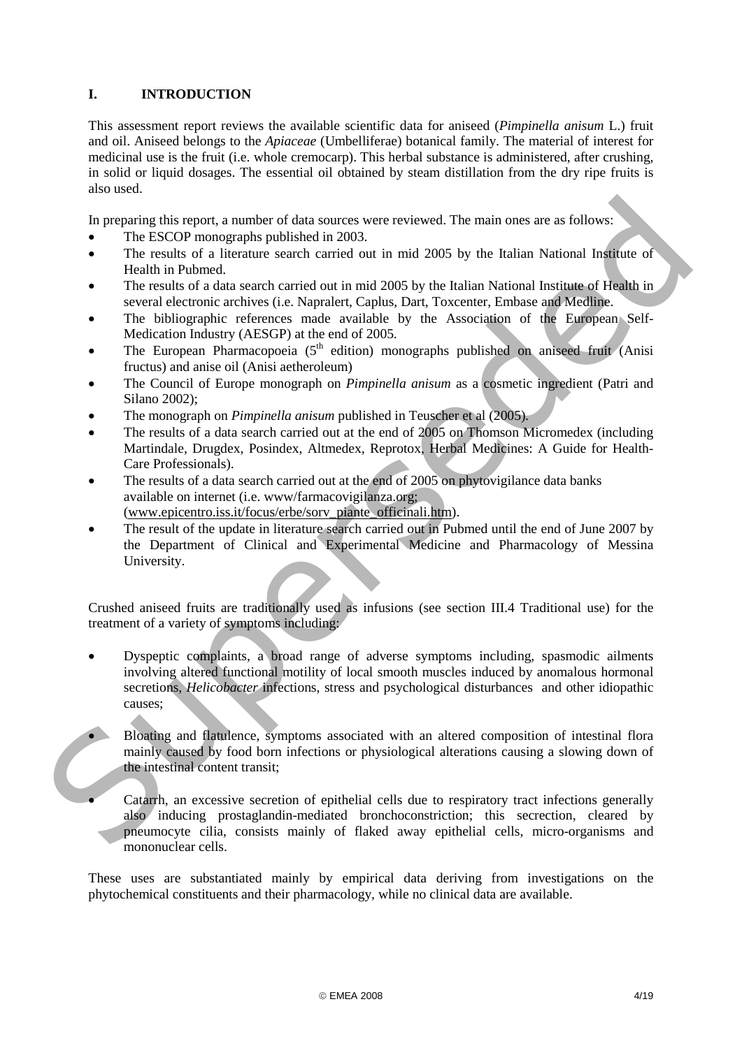# **I. INTRODUCTION**

This assessment report reviews the available scientific data for aniseed (*Pimpinella anisum* L.) fruit and oil. Aniseed belongs to the *Apiaceae* (Umbelliferae) botanical family. The material of interest for medicinal use is the fruit (i.e. whole cremocarp). This herbal substance is administered, after crushing, in solid or liquid dosages. The essential oil obtained by steam distillation from the dry ripe fruits is also used.

In preparing this report, a number of data sources were reviewed. The main ones are as follows:

- The ESCOP monographs published in 2003.
- The results of a literature search carried out in mid 2005 by the Italian National Institute of Health in Pubmed.
- The results of a data search carried out in mid 2005 by the Italian National Institute of Health in several electronic archives (i.e. Napralert, Caplus, Dart, Toxcenter, Embase and Medline.
- The bibliographic references made available by the Association of the European Self-Medication Industry (AESGP) at the end of 2005.
- The European Pharmacopoeia  $(5<sup>th</sup>$  edition) monographs published on aniseed fruit (Anisi fructus) and anise oil (Anisi aetheroleum)
- The Council of Europe monograph on *Pimpinella anisum* as a cosmetic ingredient (Patri and Silano 2002);
- The monograph on *Pimpinella anisum* published in Teuscher et al (2005)*.*
- The results of a data search carried out at the end of 2005 on Thomson Micromedex (including Martindale, Drugdex, Posindex, Altmedex, Reprotox, Herbal Medicines: A Guide for Health-Care Professionals).
- The results of a data search carried out at the end of 2005 on phytovigilance data banks available on internet (i.e. www/farmacovigilanza.org; (www.epicentro.iss.it/focus/erbe/sorv\_piante\_officinali.htm).
- The result of the update in literature search carried out in Pubmed until the end of June 2007 by the Department of Clinical and Experimental Medicine and Pharmacology of Messina University.

Crushed aniseed fruits are traditionally used as infusions (see section III.4 Traditional use) for the treatment of a variety of symptoms including:

- Dyspeptic complaints, a broad range of adverse symptoms including, spasmodic ailments involving altered functional motility of local smooth muscles induced by anomalous hormonal secretions, *Helicobacter* infections, stress and psychological disturbances and other idiopathic causes; In preparing this report, a number of data sources were reviewed. The main ones are as follows:<br>
The ESODP monopolis political in and 2003 by the Italian National Institute of<br>
The results of a literature search carried o
	- Bloating and flatulence, symptoms associated with an altered composition of intestinal flora mainly caused by food born infections or physiological alterations causing a slowing down of the intestinal content transit;
		- Catarrh, an excessive secretion of epithelial cells due to respiratory tract infections generally also inducing prostaglandin-mediated bronchoconstriction; this secrection, cleared by pneumocyte cilia, consists mainly of flaked away epithelial cells, micro-organisms and mononuclear cells.

These uses are substantiated mainly by empirical data deriving from investigations on the phytochemical constituents and their pharmacology, while no clinical data are available.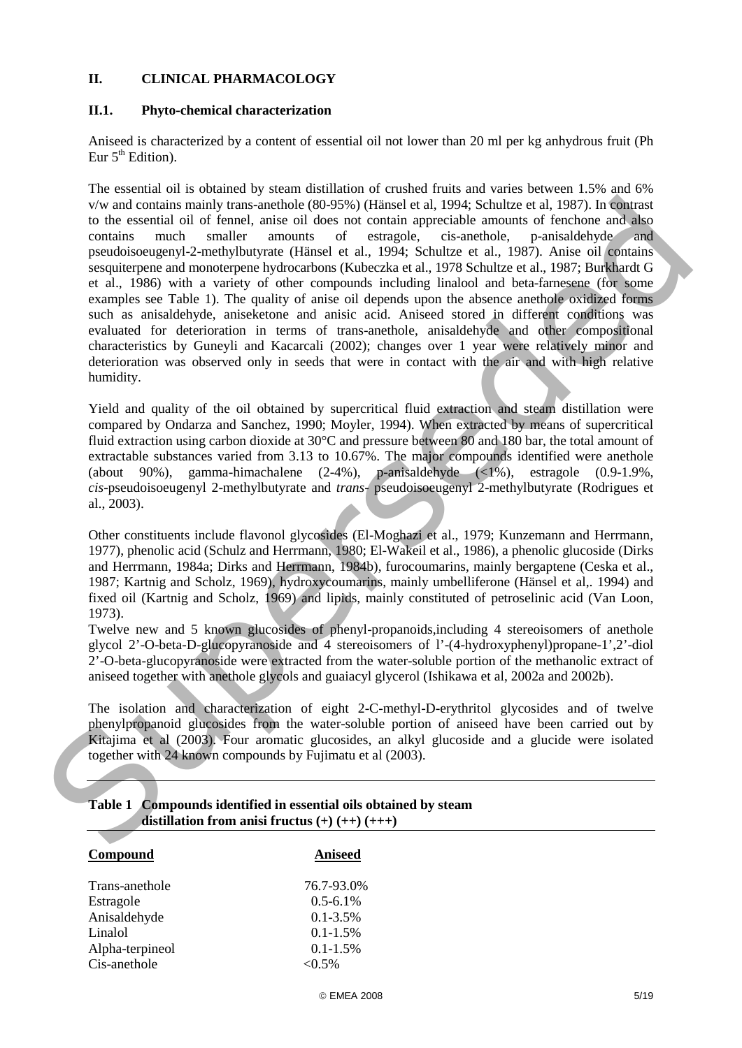### **II. CLINICAL PHARMACOLOGY**

### **II.1. Phyto-chemical characterization**

Aniseed is characterized by a content of essential oil not lower than 20 ml per kg anhydrous fruit (Ph Eur  $5<sup>th</sup>$  Edition).

The essential oil is obtained by steam distillation of crushed fruits and varies between 1.5% and 6% v/w and contains mainly trans-anethole (80-95%) (Hänsel et al, 1994; Schultze et al, 1987). In contrast to the essential oil of fennel, anise oil does not contain appreciable amounts of fenchone and also contains much smaller amounts of estragole, cis-anethole, p-anisaldehyde and pseudoisoeugenyl-2-methylbutyrate (Hänsel et al., 1994; Schultze et al., 1987). Anise oil contains sesquiterpene and monoterpene hydrocarbons (Kubeczka et al., 1978 Schultze et al., 1987; Burkhardt G et al., 1986) with a variety of other compounds including linalool and beta-farnesene (for some examples see Table 1). The quality of anise oil depends upon the absence anethole oxidized forms such as anisaldehyde, aniseketone and anisic acid. Aniseed stored in different conditions was evaluated for deterioration in terms of trans-anethole, anisaldehyde and other compositional characteristics by Guneyli and Kacarcali (2002); changes over 1 year were relatively minor and deterioration was observed only in seeds that were in contact with the air and with high relative humidity. Vs and countine mainly trans-are<br>tologe section of the simulation and show the section of the simulation<br>of the section of the simulation of the simulation of the simulation<br>of the simulation of the simulation of the simu

Yield and quality of the oil obtained by supercritical fluid extraction and steam distillation were compared by Ondarza and Sanchez, 1990; Moyler, 1994). When extracted by means of supercritical fluid extraction using carbon dioxide at 30°C and pressure between 80 and 180 bar, the total amount of extractable substances varied from 3.13 to 10.67%. The major compounds identified were anethole (about 90%), gamma-himachalene (2-4%), p-anisaldehyde (<1%), estragole (0.9-1.9%, *cis*-pseudoisoeugenyl 2-methylbutyrate and *trans*- pseudoisoeugenyl 2-methylbutyrate (Rodrigues et al., 2003).

Other constituents include flavonol glycosides (El-Moghazi et al., 1979; Kunzemann and Herrmann, 1977), phenolic acid (Schulz and Herrmann, 1980; El-Wakeil et al., 1986), a phenolic glucoside (Dirks and Herrmann, 1984a; Dirks and Herrmann, 1984b), furocoumarins, mainly bergaptene (Ceska et al., 1987; Kartnig and Scholz, 1969), hydroxycoumarins, mainly umbelliferone (Hänsel et al,. 1994) and fixed oil (Kartnig and Scholz, 1969) and lipids, mainly constituted of petroselinic acid (Van Loon, 1973).

Twelve new and 5 known glucosides of phenyl-propanoids,including 4 stereoisomers of anethole glycol 2'-O-beta-D-glucopyranoside and 4 stereoisomers of l'-(4-hydroxyphenyl)propane-1',2'-diol 2'-O-beta-glucopyranoside were extracted from the water-soluble portion of the methanolic extract of aniseed together with anethole glycols and guaiacyl glycerol (Ishikawa et al, 2002a and 2002b).

The isolation and characterization of eight 2-C-methyl-D-erythritol glycosides and of twelve phenylpropanoid glucosides from the water-soluble portion of aniseed have been carried out by Kitajima et al (2003). Four aromatic glucosides, an alkyl glucoside and a glucide were isolated together with 24 known compounds by Fujimatu et al (2003).

| distribution if one and it declas $(\pm)$ ( $(\pm \pm)$ ) ( $\pm \pm \pm$ ) |                |  |
|-----------------------------------------------------------------------------|----------------|--|
|                                                                             |                |  |
| Compound                                                                    | <b>Aniseed</b> |  |
| Trans-anethole                                                              | 76.7-93.0%     |  |
| Estragole                                                                   | $0.5 - 6.1\%$  |  |
| Anisaldehyde                                                                | $0.1 - 3.5\%$  |  |
| Linalol                                                                     | $0.1 - 1.5\%$  |  |
| Alpha-terpineol                                                             | $0.1 - 1.5\%$  |  |
| Cis-anethole                                                                | ${<}0.5\%$     |  |
|                                                                             |                |  |

### **Table 1 Compounds identified in essential oils obtained by steam**   $\det$ **distillation from anisi fructus**  $(+)$   $(+)$   $(+)$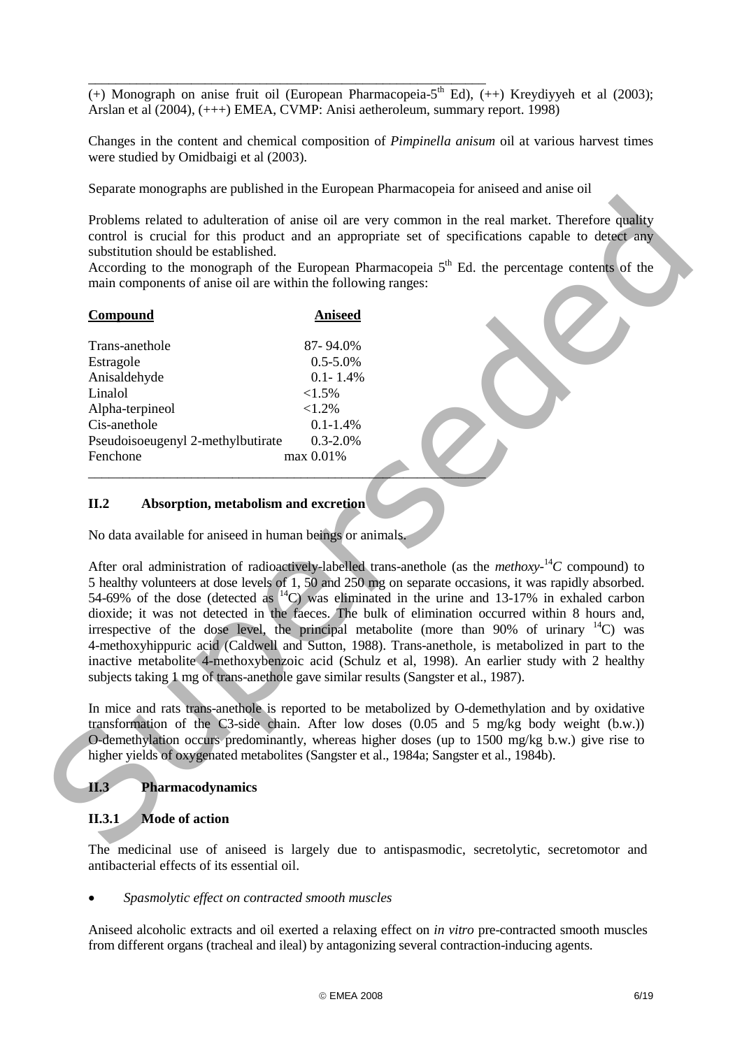$\overline{(+)}$  Monograph on anise fruit oil (European Pharmacopeia-5<sup>th</sup> Ed),  $(+)$  Kreydiyyeh et al (2003); Arslan et al (2004), (+++) EMEA, CVMP: Anisi aetheroleum, summary report. 1998)

Changes in the content and chemical composition of *Pimpinella anisum* oil at various harvest times were studied by Omidbaigi et al (2003).

Separate monographs are published in the European Pharmacopeia for aniseed and anise oil

\_\_\_\_\_\_\_\_\_\_\_\_\_\_\_\_\_\_\_\_\_\_\_\_\_\_\_\_\_\_\_\_\_\_\_\_\_\_\_\_\_\_\_\_\_\_\_\_\_\_\_\_\_\_\_\_\_\_

Problems related to adulteration of anise oil are very common in the real market. Therefore quality control is crucial for this product and an appropriate set of specifications capable to detect any substitution should be established.

According to the monograph of the European Pharmacopeia  $5<sup>th</sup>$  Ed. the percentage contents of the main components of anise oil are within the following ranges:

#### **Compound Aniseed**

| Trans-anethole                    | 87-94.0%      |
|-----------------------------------|---------------|
| Estragole                         | $0.5 - 5.0\%$ |
| Anisaldehyde                      | $0.1 - 1.4\%$ |
| Linalol                           | $<1.5\%$      |
| Alpha-terpineol                   | <1.2%         |
| Cis-anethole                      | $0.1 - 1.4%$  |
| Pseudoisoeugenyl 2-methylbutirate | $0.3 - 2.0\%$ |
| Fenchone                          | max 0.01%     |

#### **II.2 Absorption, metabolism and excretion**

No data available for aniseed in human beings or animals.

\_\_\_\_\_\_\_\_\_\_\_\_\_\_\_\_\_\_\_\_\_\_\_\_\_\_\_\_\_\_\_\_\_\_\_\_\_\_\_\_\_\_\_\_\_\_\_\_\_\_\_\_\_\_\_\_\_\_

After oral administration of radioactively-labelled trans-anethole (as the *methoxy*-<sup>14</sup>*C* compound) to 5 healthy volunteers at dose levels of 1, 50 and 250 mg on separate occasions, it was rapidly absorbed. 54-69% of the dose (detected as  $\rm{^{14}C}$ ) was eliminated in the urine and 13-17% in exhaled carbon dioxide; it was not detected in the faeces. The bulk of elimination occurred within 8 hours and, irrespective of the dose level, the principal metabolite (more than 90% of urinary  $^{14}$ C) was 4-methoxyhippuric acid (Caldwell and Sutton, 1988). Trans-anethole, is metabolized in part to the inactive metabolite 4-methoxybenzoic acid (Schulz et al, 1998). An earlier study with 2 healthy subjects taking 1 mg of trans-anethole gave similar results (Sangster et al., 1987). Problems related to adulteration of anise oil are very common in the real turnels. Therefore quality<br>
control is enside for this product and an appropriate set of specifications capable to denot any<br>
substitution should b

In mice and rats trans-anethole is reported to be metabolized by O-demethylation and by oxidative transformation of the C3-side chain. After low doses (0.05 and 5 mg/kg body weight (b.w.)) O-demethylation occurs predominantly, whereas higher doses (up to 1500 mg/kg b.w.) give rise to higher yields of oxygenated metabolites (Sangster et al., 1984a; Sangster et al., 1984b).

### **II.3 Pharmacodynamics**

### **II.3.1 Mode of action**

The medicinal use of aniseed is largely due to antispasmodic, secretolytic, secretomotor and antibacterial effects of its essential oil.

• *Spasmolytic effect on contracted smooth muscles* 

Aniseed alcoholic extracts and oil exerted a relaxing effect on *in vitro* pre-contracted smooth muscles from different organs (tracheal and ileal) by antagonizing several contraction-inducing agents.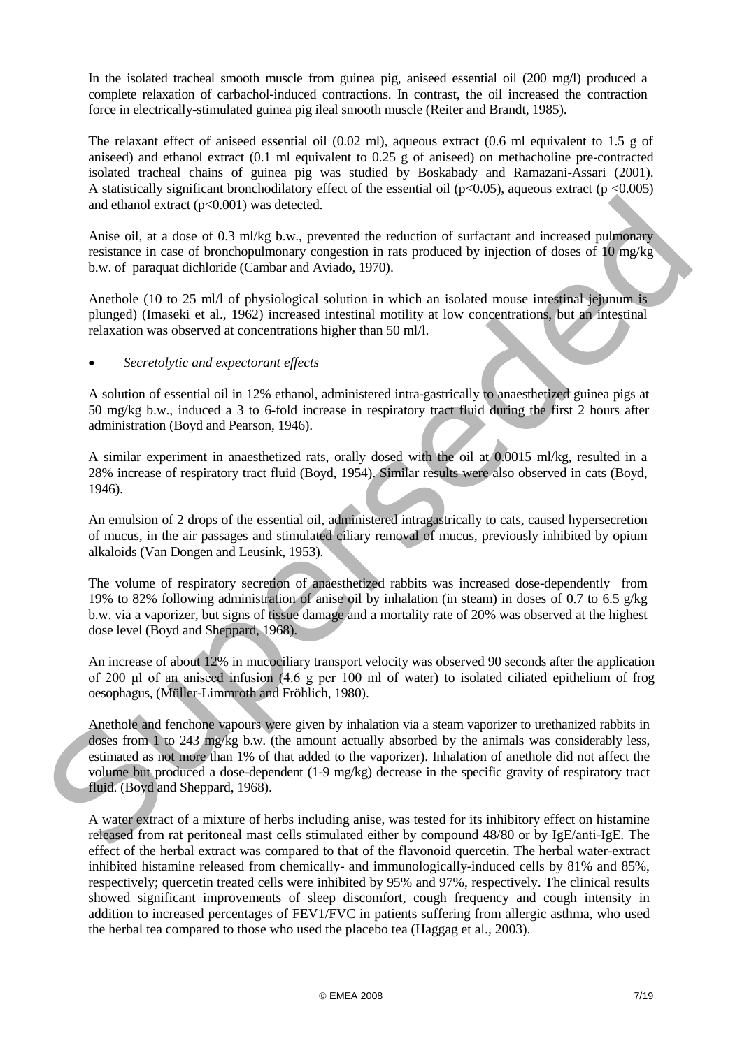In the isolated tracheal smooth muscle from guinea pig, aniseed essential oil (200 mg/l) produced a complete relaxation of carbachol-induced contractions. In contrast, the oil increased the contraction force in electrically-stimulated guinea pig ileal smooth muscle (Reiter and Brandt, 1985).

The relaxant effect of aniseed essential oil  $(0.02 \text{ ml})$ , aqueous extract  $(0.6 \text{ ml})$  equivalent to 1.5 g of aniseed) and ethanol extract (0.1 ml equivalent to 0.25 g of aniseed) on methacholine pre-contracted isolated tracheal chains of guinea pig was studied by Boskabady and Ramazani-Assari (2001). A statistically significant bronchodilatory effect of the essential oil ( $p<0.05$ ), aqueous extract ( $p < 0.005$ ) and ethanol extract (p<0.001) was detected.

Anise oil, at a dose of 0.3 ml/kg b.w., prevented the reduction of surfactant and increased pulmonary resistance in case of bronchopulmonary congestion in rats produced by injection of doses of 10 mg/kg b.w. of paraquat dichloride (Cambar and Aviado, 1970).

Anethole (10 to 25 ml/l of physiological solution in which an isolated mouse intestinal jejunum is plunged) (Imaseki et al., 1962) increased intestinal motility at low concentrations, but an intestinal relaxation was observed at concentrations higher than 50 ml/l.

### • *Secretolytic and expectorant effects*

A solution of essential oil in 12% ethanol, administered intra-gastrically to anaesthetized guinea pigs at 50 mg/kg b.w., induced a 3 to 6-fold increase in respiratory tract fluid during the first 2 hours after administration (Boyd and Pearson, 1946).

A similar experiment in anaesthetized rats, orally dosed with the oil at 0.0015 ml/kg, resulted in a 28% increase of respiratory tract fluid (Boyd, 1954). Similar results were also observed in cats (Boyd, 1946).

An emulsion of 2 drops of the essential oil, administered intragastrically to cats, caused hypersecretion of mucus, in the air passages and stimulated ciliary removal of mucus, previously inhibited by opium alkaloids (Van Dongen and Leusink, 1953).

The volume of respiratory secretion of anaesthetized rabbits was increased dose-dependently from 19% to 82% following administration of anise oil by inhalation (in steam) in doses of 0.7 to 6.5 g/kg b.w. via a vaporizer, but signs of tissue damage and a mortality rate of 20% was observed at the highest dose level (Boyd and Sheppard, 1968).

An increase of about 12% in mucociliary transport velocity was observed 90 seconds after the application of 200 μl of an aniseed infusion (4.6 g per 100 ml of water) to isolated ciliated epithelium of frog oesophagus, (Müller-Limmroth and Fröhlich, 1980).

Anethole and fenchone vapours were given by inhalation via a steam vaporizer to urethanized rabbits in doses from 1 to 243 mg/kg b.w. (the amount actually absorbed by the animals was considerably less, estimated as not more than 1% of that added to the vaporizer). Inhalation of anethole did not affect the volume but produced a dose-dependent (1-9 mg/kg) decrease in the specific gravity of respiratory tract fluid. (Boyd and Sheppard, 1968). and ethanol extract (p-0.001) was detected.<br>
Arise oil, at a dose of 0.3 milkg b.w., precented the reduction of surfactuat and increased pullmentary<br>
resistance in case of bronchoplulmonary congestion in rats problem to b

A water extract of a mixture of herbs including anise, was tested for its inhibitory effect on histamine released from rat peritoneal mast cells stimulated either by compound 48/80 or by IgE/anti-IgE. The effect of the herbal extract was compared to that of the flavonoid quercetin. The herbal water-extract inhibited histamine released from chemically- and immunologically-induced cells by 81% and 85%, respectively; quercetin treated cells were inhibited by 95% and 97%, respectively. The clinical results showed significant improvements of sleep discomfort, cough frequency and cough intensity in addition to increased percentages of FEV1/FVC in patients suffering from allergic asthma, who used the herbal tea compared to those who used the placebo tea (Haggag et al., 2003).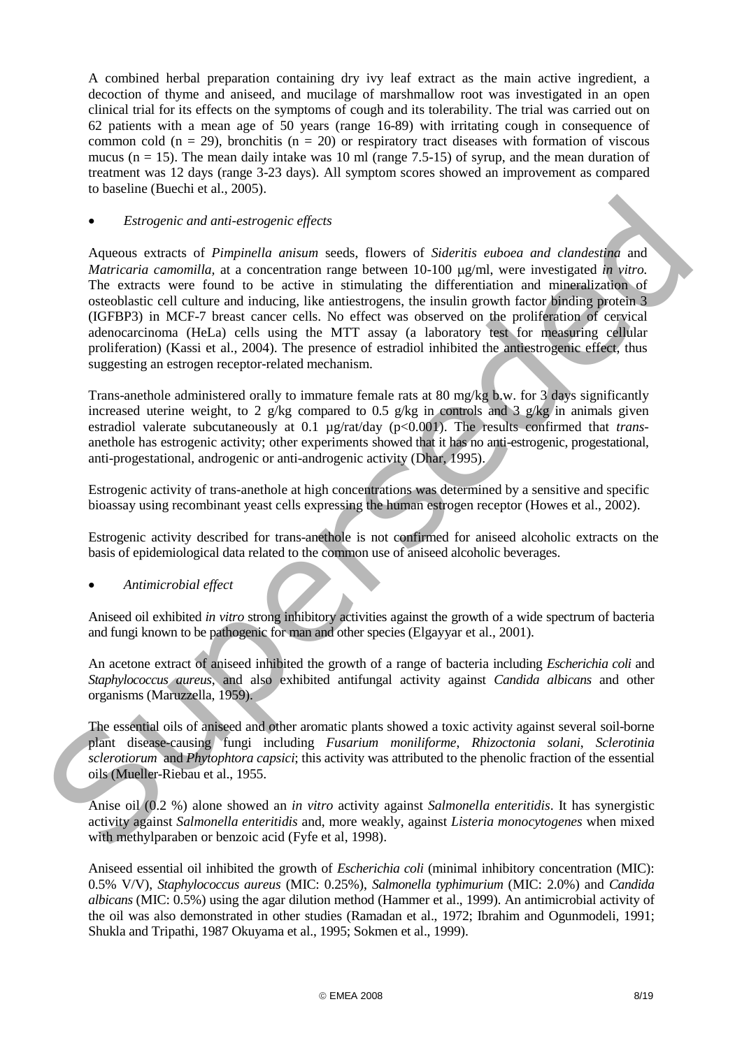A combined herbal preparation containing dry ivy leaf extract as the main active ingredient, a decoction of thyme and aniseed, and mucilage of marshmallow root was investigated in an open clinical trial for its effects on the symptoms of cough and its tolerability. The trial was carried out on 62 patients with a mean age of 50 years (range 16-89) with irritating cough in consequence of common cold ( $n = 29$ ), bronchitis ( $n = 20$ ) or respiratory tract diseases with formation of viscous mucus ( $n = 15$ ). The mean daily intake was 10 ml (range 7.5-15) of syrup, and the mean duration of treatment was 12 days (range 3-23 days). All symptom scores showed an improvement as compared to baseline (Buechi et al., 2005).

### • *Estrogenic and anti-estrogenic effects*

Aqueous extracts of *Pimpinella anisum* seeds, flowers of *Sideritis euboea and clandestina* and *Matricaria camomilla,* at a concentration range between 10-100 µg/ml, were investigated *in vitro.* The extracts were found to be active in stimulating the differentiation and mineralization of osteoblastic cell culture and inducing, like antiestrogens, the insulin growth factor binding protein 3 (IGFBP3) in MCF-7 breast cancer cells. No effect was observed on the proliferation of cervical adenocarcinoma (HeLa) cells using the MTT assay (a laboratory test for measuring cellular proliferation) (Kassi et al., 2004). The presence of estradiol inhibited the antiestrogenic effect, thus suggesting an estrogen receptor-related mechanism. • *Estrogenic and oni* extrogenic effects<br>Aqueons extracts of *Piospinella anisom* seeds, flowers of *Sideritis rabona and clanderships* and<br>Maricari canonization as concentration range between the 00 pg/m), were investig

Trans-anethole administered orally to immature female rats at 80 mg/kg b.w. for 3 days significantly increased uterine weight, to 2 g/kg compared to 0.5 g/kg in controls and 3 g/kg in animals given estradiol valerate subcutaneously at 0.1 µg/rat/day (p<0.001). The results confirmed that *trans*anethole has estrogenic activity; other experiments showed that it has no anti-estrogenic, progestational, anti-progestational, androgenic or anti-androgenic activity (Dhar, 1995).

Estrogenic activity of trans-anethole at high concentrations was determined by a sensitive and specific bioassay using recombinant yeast cells expressing the human estrogen receptor (Howes et al., 2002).

Estrogenic activity described for trans-anethole is not confirmed for aniseed alcoholic extracts on the basis of epidemiological data related to the common use of aniseed alcoholic beverages.

• *Antimicrobial effect*

Aniseed oil exhibited *in vitro* strong inhibitory activities against the growth of a wide spectrum of bacteria and fungi known to be pathogenic for man and other species (Elgayyar et al., 2001).

An acetone extract of aniseed inhibited the growth of a range of bacteria including *Escherichia coli* and *Staphylococcus aureus*, and also exhibited antifungal activity against *Candida albicans* and other organisms (Maruzzella, 1959).

The essential oils of aniseed and other aromatic plants showed a toxic activity against several soil-borne plant disease-causing fungi including *Fusarium moniliforme*, *Rhizoctonia solani*, *Sclerotinia sclerotiorum* and *Phytophtora capsici*; this activity was attributed to the phenolic fraction of the essential oils (Mueller-Riebau et al., 1955.

Anise oil (0.2 %) alone showed an *in vitro* activity against *Salmonella enteritidis*. It has synergistic activity against *Salmonella enteritidis* and, more weakly, against *Listeria monocytogenes* when mixed with methylparaben or benzoic acid (Fyfe et al, 1998).

Aniseed essential oil inhibited the growth of *Escherichia coli* (minimal inhibitory concentration (MIC): 0.5% V/V), *Staphylococcus aureus* (MIC: 0.25%), *Salmonella typhimurium* (MIC: 2.0%) and *Candida albicans* (MIC: 0.5%) using the agar dilution method (Hammer et al., 1999). An antimicrobial activity of the oil was also demonstrated in other studies (Ramadan et al., 1972; Ibrahim and Ogunmodeli, 1991; Shukla and Tripathi, 1987 Okuyama et al., 1995; Sokmen et al., 1999).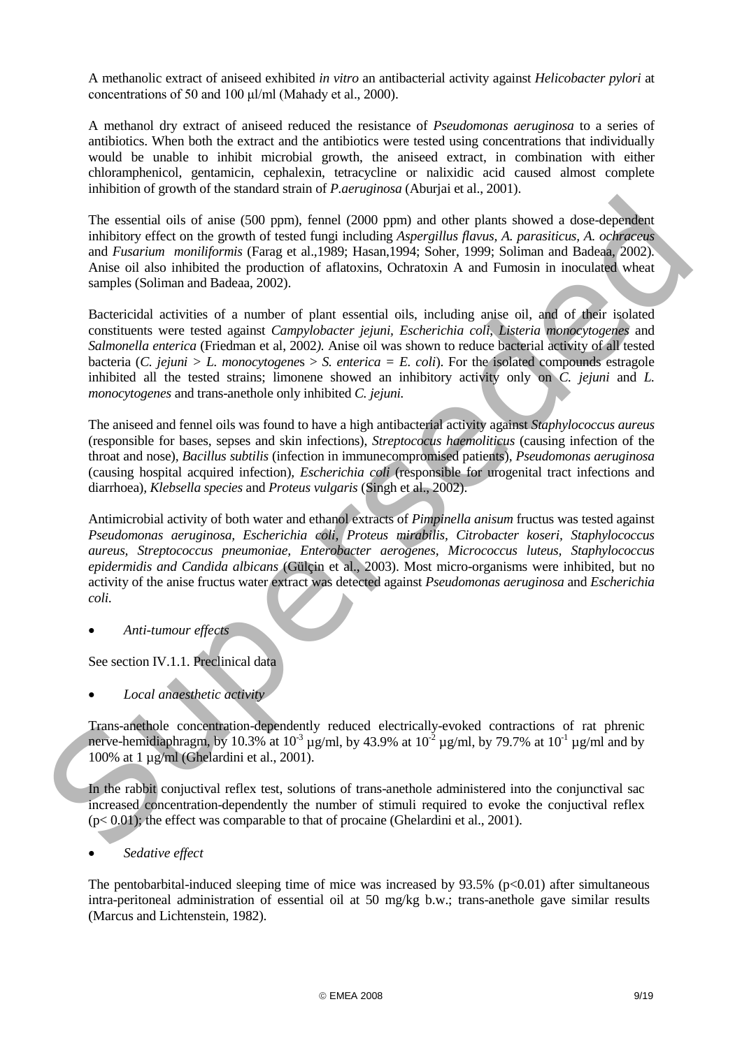A methanolic extract of aniseed exhibited *in vitro* an antibacterial activity against *Helicobacter pylori* at concentrations of 50 and 100 μl/ml (Mahady et al., 2000).

A methanol dry extract of aniseed reduced the resistance of *Pseudomonas aeruginosa* to a series of antibiotics. When both the extract and the antibiotics were tested using concentrations that individually would be unable to inhibit microbial growth, the aniseed extract, in combination with either chloramphenicol, gentamicin, cephalexin, tetracycline or nalixidic acid caused almost complete inhibition of growth of the standard strain of *P.aeruginosa* (Aburjai et al., 2001).

The essential oils of anise (500 ppm), fennel (2000 ppm) and other plants showed a dose-dependent inhibitory effect on the growth of tested fungi including *Aspergillus flavus, A. parasiticus, A. ochraceus*  and *Fusarium moniliformis* (Farag et al.,1989; Hasan,1994; Soher, 1999; Soliman and Badeaa, 2002). Anise oil also inhibited the production of aflatoxins, Ochratoxin A and Fumosin in inoculated wheat samples (Soliman and Badeaa, 2002).

Bactericidal activities of a number of plant essential oils, including anise oil, and of their isolated constituents were tested against *Campylobacter jejuni, Escherichia coli*, *Listeria monocytogenes* and *Salmonella enterica* (Friedman et al, 2002*).* Anise oil was shown to reduce bacterial activity of all tested bacteria (*C. jejuni > L. monocytogene*s > *S. enterica = E. coli*). For the isolated compounds estragole inhibited all the tested strains; limonene showed an inhibitory activity only on *C. jejuni* and *L. monocytogenes* and trans-anethole only inhibited *C. jejuni.*

The aniseed and fennel oils was found to have a high antibacterial activity against *Staphylococcus aureus*  (responsible for bases, sepses and skin infections), *Streptococus haemoliticus* (causing infection of the throat and nose)*, Bacillus subtilis* (infection in immunecompromised patients)*, Pseudomonas aeruginosa* (causing hospital acquired infection)*, Escherichia coli* (responsible for urogenital tract infections and diarrhoea)*, Klebsella species* and *Proteus vulgaris* (Singh et al., 2002).

Antimicrobial activity of both water and ethanol extracts of *Pimpinella anisum* fructus was tested against *Pseudomonas aeruginosa, Escherichia coli, Proteus mirabilis, Citrobacter koseri, Staphylococcus aureus, Streptococcus pneumoniae, Enterobacter aerogenes, Micrococcus luteus, Staphylococcus epidermidis and Candida albicans* (Gülçin et al., 2003). Most micro-organisms were inhibited, but no activity of the anise fructus water extract was detected against *Pseudomonas aeruginosa* and *Escherichia coli.* The essential oits of unise (300 ppm). Femel (2000 ppm) and other plants showed a dose-dependent<br>inhibitory effects on the growth of reacta from its predating Apergalite factor. A *convinential*<br>and *Fourinne monitiperant* 

• *Anti-tumour effects*

See section IV.1.1. Preclinical data

• *Local anaesthetic activity* 

Trans-anethole concentration-dependently reduced electrically-evoked contractions of rat phrenic nerve-hemidiaphragm, by 10.3% at 10<sup>-3</sup>  $\mu$ g/ml, by 43.9% at 10<sup>-2</sup>  $\mu$ g/ml, by 79.7% at 10<sup>-1</sup>  $\mu$ g/ml and by 100% at 1 µg/ml (Ghelardini et al., 2001).

In the rabbit conjuctival reflex test, solutions of trans-anethole administered into the conjunctival sac increased concentration-dependently the number of stimuli required to evoke the conjuctival reflex  $(p< 0.01)$ ; the effect was comparable to that of procaine (Ghelardini et al., 2001).

The pentobarbital-induced sleeping time of mice was increased by  $93.5\%$  (p $<0.01$ ) after simultaneous intra-peritoneal administration of essential oil at 50 mg/kg b.w.; trans-anethole gave similar results (Marcus and Lichtenstein, 1982).

<sup>•</sup> *Sedative effect*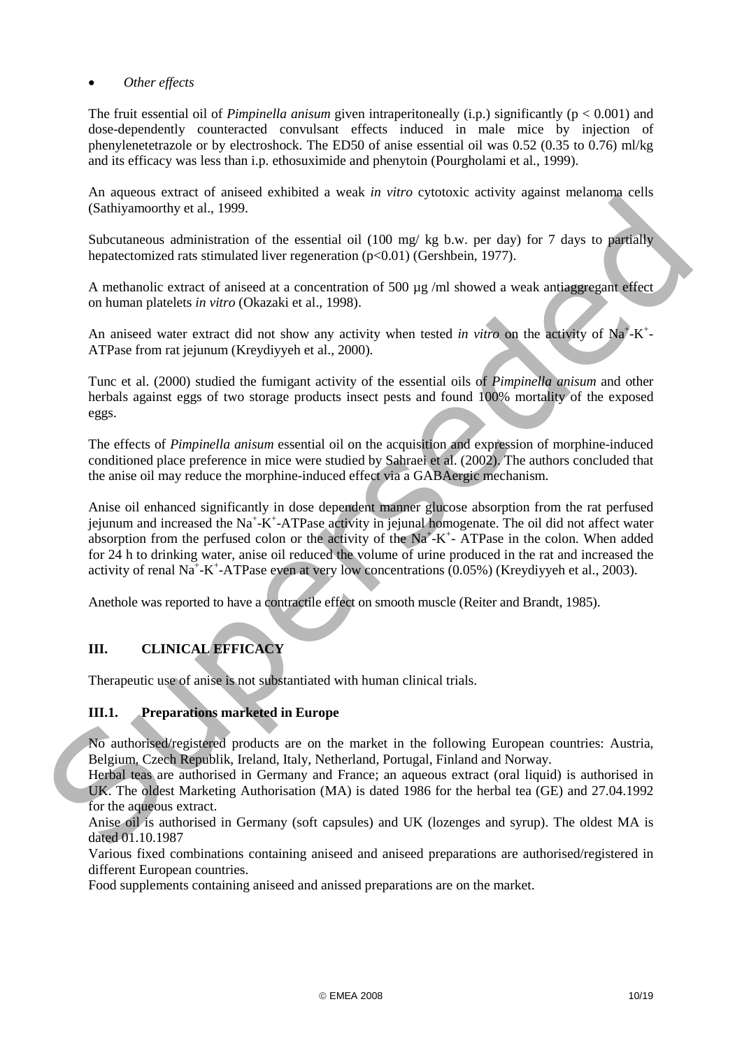### • *Other effects*

The fruit essential oil of *Pimpinella anisum* given intraperitoneally (i.p.) significantly (p < 0.001) and dose-dependently counteracted convulsant effects induced in male mice by injection of phenylenetetrazole or by electroshock. The ED50 of anise essential oil was 0.52 (0.35 to 0.76) ml/kg and its efficacy was less than i.p. ethosuximide and phenytoin (Pourgholami et al., 1999).

An aqueous extract of aniseed exhibited a weak *in vitro* cytotoxic activity against melanoma cells (Sathiyamoorthy et al., 1999.

Subcutaneous administration of the essential oil (100 mg/ kg b.w. per day) for 7 days to partially hepatectomized rats stimulated liver regeneration (p<0.01) (Gershbein, 1977).

A methanolic extract of aniseed at a concentration of 500 µg /ml showed a weak antiaggregant effect on human platelets *in vitro* (Okazaki et al., 1998).

An aniseed water extract did not show any activity when tested *in vitro* on the activity of Na<sup>+</sup>-K<sup>+</sup>-ATPase from rat jejunum (Kreydiyyeh et al., 2000).

Tunc et al. (2000) studied the fumigant activity of the essential oils of *Pimpinella anisum* and other herbals against eggs of two storage products insect pests and found 100% mortality of the exposed eggs.

The effects of *Pimpinella anisum* essential oil on the acquisition and expression of morphine-induced conditioned place preference in mice were studied by Sahraei et al. (2002). The authors concluded that the anise oil may reduce the morphine-induced effect via a GABAergic mechanism.

Anise oil enhanced significantly in dose dependent manner glucose absorption from the rat perfused jejunum and increased the Na<sup>+</sup>-K<sup>+</sup>-ATPase activity in jejunal homogenate. The oil did not affect water absorption from the perfused colon or the activity of the  $Na^+ - K^+$ - ATPase in the colon. When added for 24 h to drinking water, anise oil reduced the volume of urine produced in the rat and increased the activity of renal Na<sup>+</sup>-K<sup>+</sup>-ATPase even at very low concentrations (0.05%) (Kreydiyyeh et al., 2003). Substitute et al. 1999.<br>
Substitute et al. 1999.<br>
Substitute and in the costential of 1000 mg/kg base, per day of the period of the state of the state of the state of the state of a state of a state of a state of a state

Anethole was reported to have a contractile effect on smooth muscle (Reiter and Brandt, 1985).

# **III. CLINICAL EFFICACY**

Therapeutic use of anise is not substantiated with human clinical trials.

### **III.1. Preparations marketed in Europe**

No authorised/registered products are on the market in the following European countries: Austria, Belgium, Czech Republik, Ireland, Italy, Netherland, Portugal, Finland and Norway.

Herbal teas are authorised in Germany and France; an aqueous extract (oral liquid) is authorised in UK. The oldest Marketing Authorisation (MA) is dated 1986 for the herbal tea (GE) and 27.04.1992 for the aqueous extract.

Anise oil is authorised in Germany (soft capsules) and UK (lozenges and syrup). The oldest MA is dated 01.10.1987

Various fixed combinations containing aniseed and aniseed preparations are authorised/registered in different European countries.

Food supplements containing aniseed and anissed preparations are on the market.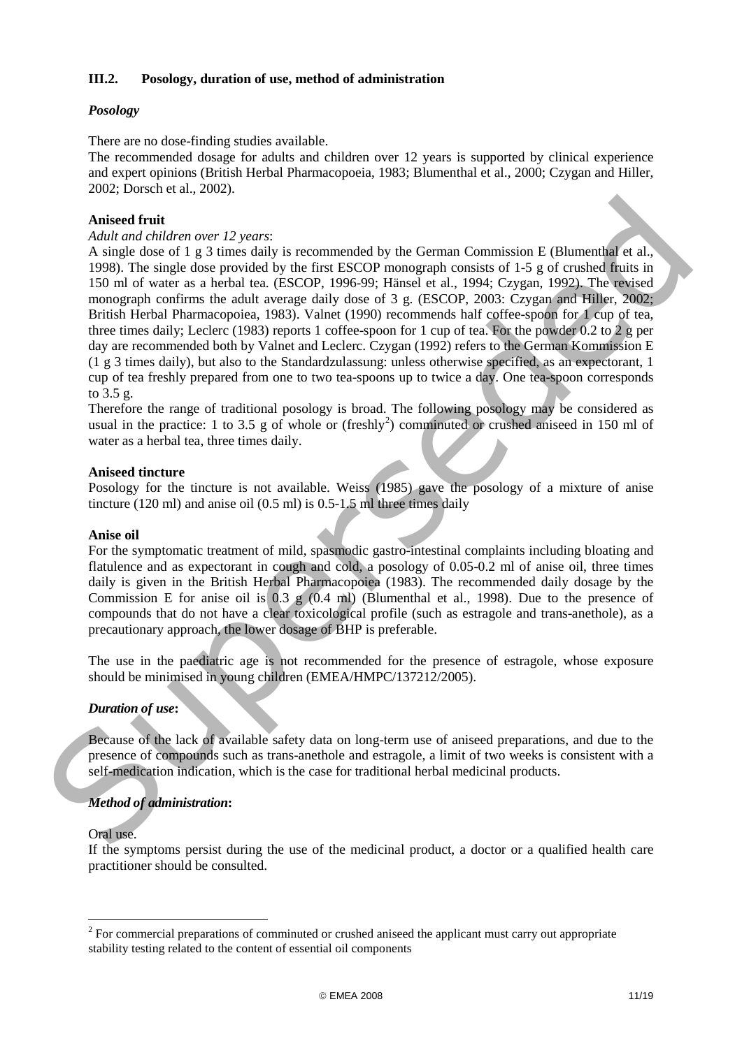### **III.2. Posology, duration of use, method of administration**

## *Posology*

There are no dose-finding studies available.

The recommended dosage for adults and children over 12 years is supported by clinical experience and expert opinions (British Herbal Pharmacopoeia, 1983; Blumenthal et al., 2000; Czygan and Hiller, 2002; Dorsch et al., 2002).

### **Aniseed fruit**

#### *Adult and children over 12 years*:

A single dose of 1 g 3 times daily is recommended by the German Commission E (Blumenthal et al., 1998). The single dose provided by the first ESCOP monograph consists of 1-5 g of crushed fruits in 150 ml of water as a herbal tea. (ESCOP, 1996-99; Hänsel et al., 1994; Czygan, 1992). The revised monograph confirms the adult average daily dose of 3 g. (ESCOP, 2003: Czygan and Hiller, 2002; British Herbal Pharmacopoiea, 1983). Valnet (1990) recommends half coffee-spoon for 1 cup of tea, three times daily; Leclerc (1983) reports 1 coffee-spoon for 1 cup of tea. For the powder 0.2 to 2 g per day are recommended both by Valnet and Leclerc. Czygan (1992) refers to the German Kommission E (1 g 3 times daily), but also to the Standardzulassung: unless otherwise specified, as an expectorant, 1 cup of tea freshly prepared from one to two tea-spoons up to twice a day. One tea-spoon corresponds to 3.5 g. Aniseed fruit Address ore 12 years:<br>Add and children over 12 years:<br>As in goods of the 3 simes dealy is recommended by the German Commission E (Blumential et al.,<br>1998). This single dose of 1 g 3 simes dealy is recommende

Therefore the range of traditional posology is broad. The following posology may be considered as usual in the practice: 1 to 3.5 g of whole or (freshly<sup>2</sup>) comminuted or crushed aniseed in 150 ml of water as a herbal tea, three times daily.

### **Aniseed tincture**

Posology for the tincture is not available. Weiss (1985) gave the posology of a mixture of anise tincture (120 ml) and anise oil (0.5 ml) is  $0.5$ -1.5 ml three times daily

### **Anise oil**

For the symptomatic treatment of mild, spasmodic gastro-intestinal complaints including bloating and flatulence and as expectorant in cough and cold*,* a posology of 0.05-0.2 ml of anise oil, three times daily is given in the British Herbal Pharmacopoiea (1983). The recommended daily dosage by the Commission E for anise oil is 0.3 g (0.4 ml) (Blumenthal et al., 1998). Due to the presence of compounds that do not have a clear toxicological profile (such as estragole and trans-anethole), as a precautionary approach, the lower dosage of BHP is preferable.

The use in the paediatric age is not recommended for the presence of estragole, whose exposure should be minimised in young children (EMEA/HMPC/137212/2005).

### *Duration of use***:**

Because of the lack of available safety data on long-term use of aniseed preparations, and due to the presence of compounds such as trans-anethole and estragole, a limit of two weeks is consistent with a self-medication indication, which is the case for traditional herbal medicinal products.

# *Method of administration***:**

#### Oral use.

-

If the symptoms persist during the use of the medicinal product, a doctor or a qualified health care practitioner should be consulted.

<span id="page-10-0"></span> $2^2$  For commercial preparations of comminuted or crushed aniseed the applicant must carry out appropriate stability testing related to the content of essential oil components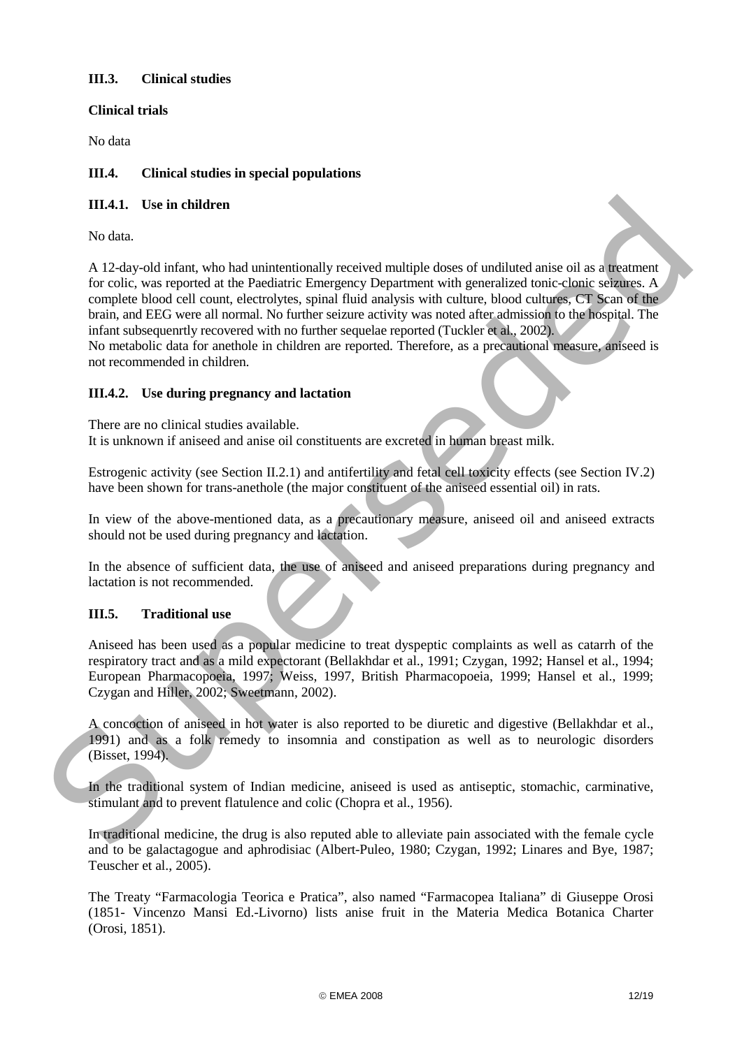# **III.3. Clinical studies**

## **Clinical trials**

No data

### **III.4. Clinical studies in special populations**

### **III.4.1. Use in children**

No data.

A 12-day-old infant, who had unintentionally received multiple doses of undiluted anise oil as a treatment for colic, was reported at the Paediatric Emergency Department with generalized tonic-clonic seizures. A complete blood cell count, electrolytes, spinal fluid analysis with culture, blood cultures, CT Scan of the brain, and EEG were all normal. No further seizure activity was noted after admission to the hospital. The infant subsequenrtly recovered with no further sequelae reported (Tuckler et al., 2002). III.4.1. Use in children<br>
No data.<br>
No data interactionally received multiple does of unditered anise oil as a<br>
model of education of the result of the Packlinic Einergency Department with generalized tonic-clank vehicles

No metabolic data for anethole in children are reported. Therefore, as a precautional measure, aniseed is not recommended in children.

### **III.4.2. Use during pregnancy and lactation**

There are no clinical studies available.

It is unknown if aniseed and anise oil constituents are excreted in human breast milk.

Estrogenic activity (see Section II.2.1) and antifertility and fetal cell toxicity effects (see Section IV.2) have been shown for trans-anethole (the major constituent of the aniseed essential oil) in rats.

In view of the above-mentioned data, as a precautionary measure, aniseed oil and aniseed extracts should not be used during pregnancy and lactation.

In the absence of sufficient data, the use of aniseed and aniseed preparations during pregnancy and lactation is not recommended.

### **III.5. Traditional use**

Aniseed has been used as a popular medicine to treat dyspeptic complaints as well as catarrh of the respiratory tract and as a mild expectorant (Bellakhdar et al., 1991; Czygan, 1992; Hansel et al., 1994; European Pharmacopoeia, 1997; Weiss, 1997, British Pharmacopoeia, 1999; Hansel et al., 1999; Czygan and Hiller, 2002; Sweetmann, 2002).

A concoction of aniseed in hot water is also reported to be diuretic and digestive (Bellakhdar et al., 1991) and as a folk remedy to insomnia and constipation as well as to neurologic disorders (Bisset, 1994).

In the traditional system of Indian medicine, aniseed is used as antiseptic, stomachic, carminative, stimulant and to prevent flatulence and colic (Chopra et al., 1956).

In traditional medicine, the drug is also reputed able to alleviate pain associated with the female cycle and to be galactagogue and aphrodisiac (Albert-Puleo, 1980; Czygan, 1992; Linares and Bye, 1987; Teuscher et al., 2005).

The Treaty "Farmacologia Teorica e Pratica", also named "Farmacopea Italiana" di Giuseppe Orosi (1851- Vincenzo Mansi Ed.-Livorno) lists anise fruit in the Materia Medica Botanica Charter (Orosi, 1851).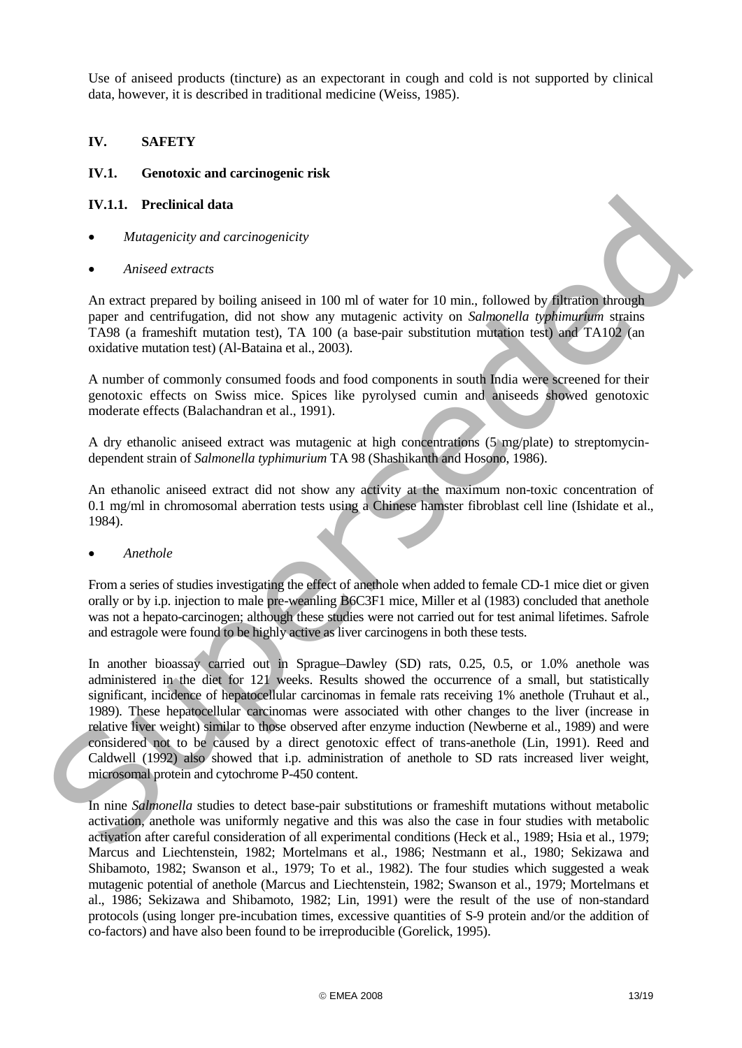Use of aniseed products (tincture) as an expectorant in cough and cold is not supported by clinical data, however, it is described in traditional medicine (Weiss, 1985).

## **IV. SAFETY**

### **IV.1. Genotoxic and carcinogenic risk**

### **IV.1.1. Preclinical data**

- *Mutagenicity and carcinogenicity*
- *Aniseed extracts*

An extract prepared by boiling aniseed in 100 ml of water for 10 min., followed by filtration through paper and centrifugation, did not show any mutagenic activity on *Salmonella typhimurium* strains TA98 (a frameshift mutation test), TA 100 (a base-pair substitution mutation test) and TA102 (an oxidative mutation test) (Al-Bataina et al., 2003).

A number of commonly consumed foods and food components in south India were screened for their genotoxic effects on Swiss mice. Spices like pyrolysed cumin and aniseeds showed genotoxic moderate effects (Balachandran et al., 1991).

A dry ethanolic aniseed extract was mutagenic at high concentrations (5 mg/plate) to streptomycindependent strain of *Salmonella typhimurium* TA 98 (Shashikanth and Hosono, 1986).

An ethanolic aniseed extract did not show any activity at the maximum non-toxic concentration of 0.1 mg/ml in chromosomal aberration tests using a Chinese hamster fibroblast cell line (Ishidate et al., 1984).

### • *Anethole*

From a series of studies investigating the effect of anethole when added to female CD-1 mice diet or given orally or by i.p. injection to male pre-weanling B6C3F1 mice, Miller et al (1983) concluded that anethole was not a hepato-carcinogen; although these studies were not carried out for test animal lifetimes. Safrole and estragole were found to be highly active as liver carcinogens in both these tests.

In another bioassay carried out in Sprague–Dawley (SD) rats, 0.25, 0.5, or 1.0% anethole was administered in the diet for 121 weeks. Results showed the occurrence of a small, but statistically significant, incidence of hepatocellular carcinomas in female rats receiving 1% anethole (Truhaut et al., 1989). These hepatocellular carcinomas were associated with other changes to the liver (increase in relative liver weight) similar to those observed after enzyme induction (Newberne et al., 1989) and were considered not to be caused by a direct genotoxic effect of trans-anethole (Lin, 1991). Reed and Caldwell (1992) also showed that i.p. administration of anethole to SD rats increased liver weight, microsomal protein and cytochrome P-450 content. **IV.1.1. Prechinent data**<br>
• *Matogenicity and carcinogenicity*<br>
• *Anisocal extracts*<br>
• *Anisocal extracts*<br>
• *Anisocal extracts*<br>
• *Anisocal extracts*<br>
• **Anisocal extracts**<br>
• **Equipmentary by builing anisocal in 10** 

In nine *Salmonella* studies to detect base-pair substitutions or frameshift mutations without metabolic activation, anethole was uniformly negative and this was also the case in four studies with metabolic activation after careful consideration of all experimental conditions (Heck et al., 1989; Hsia et al., 1979; Marcus and Liechtenstein, 1982; Mortelmans et al., 1986; Nestmann et al., 1980; Sekizawa and Shibamoto, 1982; Swanson et al., 1979; To et al., 1982). The four studies which suggested a weak mutagenic potential of anethole (Marcus and Liechtenstein, 1982; Swanson et al., 1979; Mortelmans et al., 1986; Sekizawa and Shibamoto, 1982; Lin, 1991) were the result of the use of non-standard protocols (using longer pre-incubation times, excessive quantities of S-9 protein and/or the addition of co-factors) and have also been found to be irreproducible (Gorelick, 1995).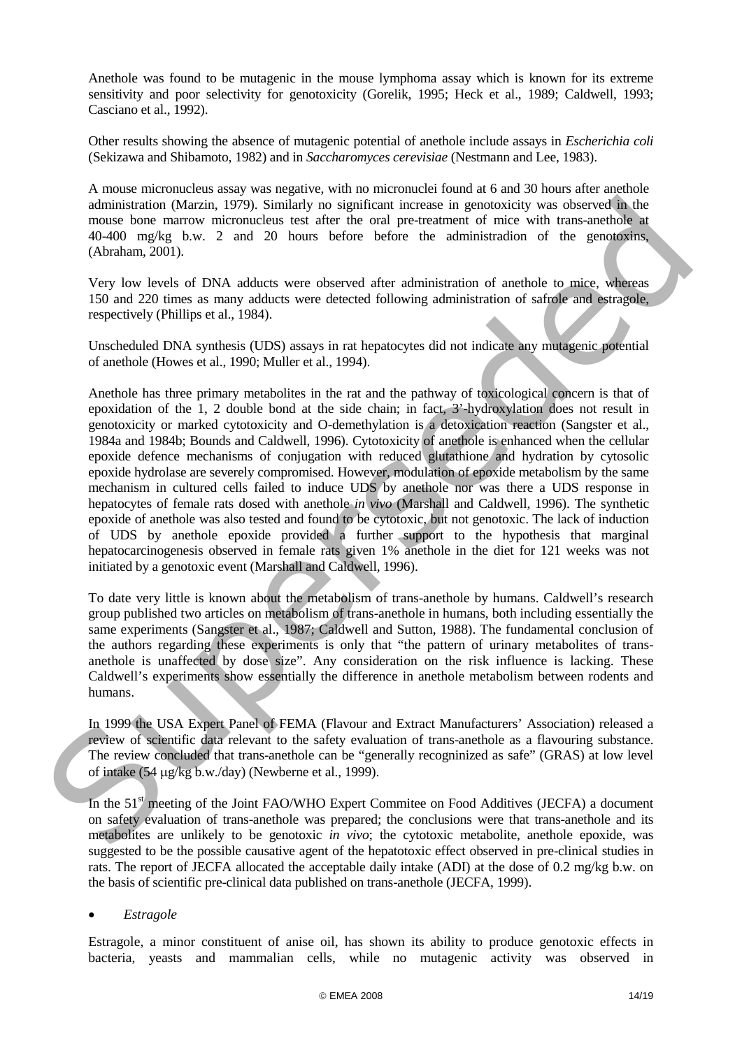Anethole was found to be mutagenic in the mouse lymphoma assay which is known for its extreme sensitivity and poor selectivity for genotoxicity (Gorelik, 1995; Heck et al., 1989; Caldwell, 1993; Casciano et al., 1992).

Other results showing the absence of mutagenic potential of anethole include assays in *Escherichia coli* (Sekizawa and Shibamoto, 1982) and in *Saccharomyces cerevisiae* (Nestmann and Lee, 1983).

A mouse micronucleus assay was negative, with no micronuclei found at 6 and 30 hours after anethole administration (Marzin, 1979). Similarly no significant increase in genotoxicity was observed in the mouse bone marrow micronucleus test after the oral pre-treatment of mice with trans-anethole at 40-400 mg/kg b.w. 2 and 20 hours before before the administradion of the genotoxins, (Abraham, 2001).

Very low levels of DNA adducts were observed after administration of anethole to mice, whereas 150 and 220 times as many adducts were detected following administration of safrole and estragole, respectively (Phillips et al., 1984).

Unscheduled DNA synthesis (UDS) assays in rat hepatocytes did not indicate any mutagenic potential of anethole (Howes et al., 1990; Muller et al., 1994).

Anethole has three primary metabolites in the rat and the pathway of toxicological concern is that of epoxidation of the 1, 2 double bond at the side chain; in fact, 3'-hydroxylation does not result in genotoxicity or marked cytotoxicity and O-demethylation is a detoxication reaction (Sangster et al., 1984a and 1984b; Bounds and Caldwell, 1996). Cytotoxicity of anethole is enhanced when the cellular epoxide defence mechanisms of conjugation with reduced glutathione and hydration by cytosolic epoxide hydrolase are severely compromised. However, modulation of epoxide metabolism by the same mechanism in cultured cells failed to induce UDS by anethole nor was there a UDS response in hepatocytes of female rats dosed with anethole *in vivo* (Marshall and Caldwell, 1996). The synthetic epoxide of anethole was also tested and found to be cytotoxic, but not genotoxic. The lack of induction of UDS by anethole epoxide provided a further support to the hypothesis that marginal hepatocarcinogenesis observed in female rats given 1% anethole in the diet for 121 weeks was not initiated by a genotoxic event (Marshall and Caldwell, 1996). administration (Marzin, 1979). Similarly as is guidicant increase in generation columns the summation of the Supervison of the Supervison of the Supervison of the Supervison of the Supervison (Advantum, 2001).<br>
Yery low l

To date very little is known about the metabolism of trans-anethole by humans. Caldwell's research group published two articles on metabolism of trans-anethole in humans, both including essentially the same experiments (Sangster et al., 1987; Caldwell and Sutton, 1988). The fundamental conclusion of the authors regarding these experiments is only that "the pattern of urinary metabolites of transanethole is unaffected by dose size". Any consideration on the risk influence is lacking. These Caldwell's experiments show essentially the difference in anethole metabolism between rodents and humans.

In 1999 the USA Expert Panel of FEMA (Flavour and Extract Manufacturers' Association) released a review of scientific data relevant to the safety evaluation of trans-anethole as a flavouring substance. The review concluded that trans-anethole can be "generally recogninized as safe" (GRAS) at low level of intake (54 µg/kg b.w./day) (Newberne et al., 1999).

In the 51<sup>st</sup> meeting of the Joint FAO/WHO Expert Commitee on Food Additives (JECFA) a document on safety evaluation of trans-anethole was prepared; the conclusions were that trans-anethole and its metabolites are unlikely to be genotoxic *in vivo*; the cytotoxic metabolite, anethole epoxide, was suggested to be the possible causative agent of the hepatotoxic effect observed in pre-clinical studies in rats. The report of JECFA allocated the acceptable daily intake (ADI) at the dose of 0.2 mg/kg b.w. on the basis of scientific pre-clinical data published on trans-anethole (JECFA, 1999).

### • *Estragole*

Estragole, a minor constituent of anise oil, has shown its ability to produce genotoxic effects in bacteria, yeasts and mammalian cells, while no mutagenic activity was observed in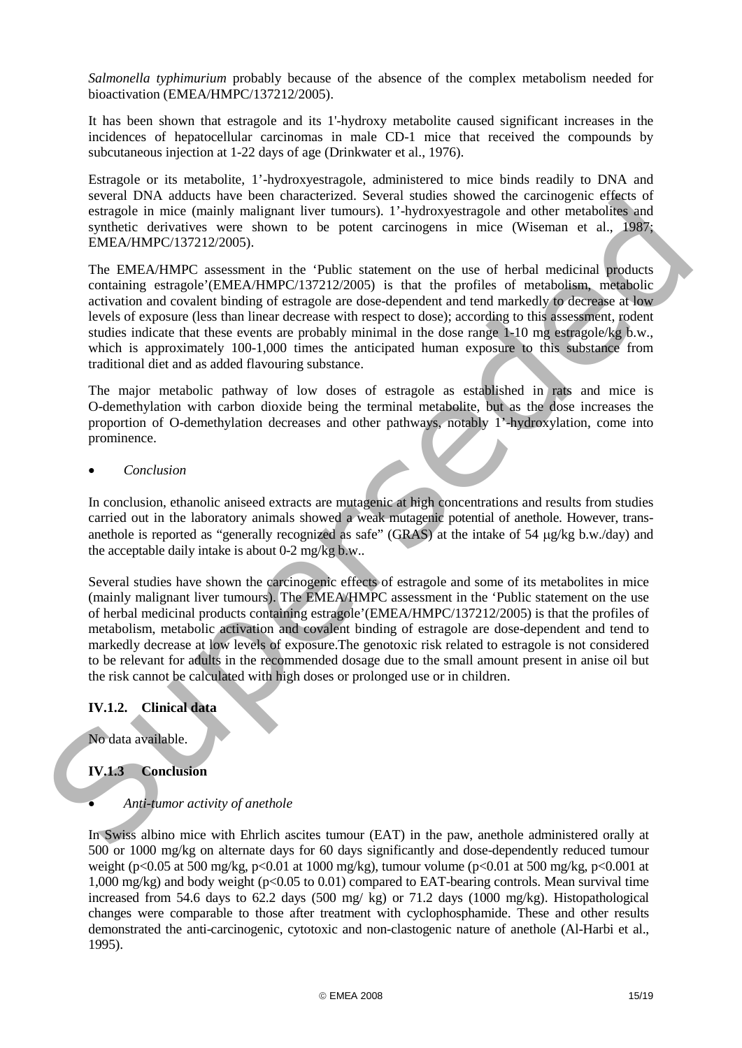*Salmonella typhimurium* probably because of the absence of the complex metabolism needed for bioactivation (EMEA/HMPC/137212/2005).

It has been shown that estragole and its 1'-hydroxy metabolite caused significant increases in the incidences of hepatocellular carcinomas in male CD-1 mice that received the compounds by subcutaneous injection at 1-22 days of age (Drinkwater et al., 1976).

Estragole or its metabolite, 1'-hydroxyestragole, administered to mice binds readily to DNA and several DNA adducts have been characterized. Several studies showed the carcinogenic effects of estragole in mice (mainly malignant liver tumours). 1'-hydroxyestragole and other metabolites and synthetic derivatives were shown to be potent carcinogens in mice (Wiseman et al., 1987; EMEA/HMPC/137212/2005).

The EMEA/HMPC assessment in the 'Public statement on the use of herbal medicinal products containing estragole'(EMEA/HMPC/137212/2005) is that the profiles of metabolism, metabolic activation and covalent binding of estragole are dose-dependent and tend markedly to decrease at low levels of exposure (less than linear decrease with respect to dose); according to this assessment, rodent studies indicate that these events are probably minimal in the dose range  $1-10$  mg estragole/kg b.w., which is approximately 100-1,000 times the anticipated human exposure to this substance from traditional diet and as added flavouring substance.

The major metabolic pathway of low doses of estragole as established in rats and mice is O-demethylation with carbon dioxide being the terminal metabolite, but as the dose increases the proportion of O-demethylation decreases and other pathways, notably 1'-hydroxylation, come into prominence.

• *Conclusion* 

In conclusion, ethanolic aniseed extracts are mutagenic at high concentrations and results from studies carried out in the laboratory animals showed a weak mutagenic potential of anethole. However, transanethole is reported as "generally recognized as safe" (GRAS) at the intake of 54 µg/kg b.w./day) and the acceptable daily intake is about 0-2 mg/kg b.w..

Several studies have shown the carcinogenic effects of estragole and some of its metabolites in mice (mainly malignant liver tumours). The EMEA/HMPC assessment in the 'Public statement on the use of herbal medicinal products containing estragole'(EMEA/HMPC/137212/2005) is that the profiles of metabolism, metabolic activation and covalent binding of estragole are dose-dependent and tend to markedly decrease at low levels of exposure.The genotoxic risk related to estragole is not considered to be relevant for adults in the recommended dosage due to the small amount present in anise oil but the risk cannot be calculated with high doses or prolonged use or in children. steven tives assumes their users vanished readers and solvential the subsect of the comparist energies in the comparist energies in the comparist energies in the systematic energies in the systematic energies in the system

# **IV.1.2. Clinical data**

No data available.

# **IV.1.3 Conclusion**

# • *Anti-tumor activity of anethole*

In Swiss albino mice with Ehrlich ascites tumour (EAT) in the paw, anethole administered orally at 500 or 1000 mg/kg on alternate days for 60 days significantly and dose-dependently reduced tumour weight (p<0.05 at 500 mg/kg, p<0.01 at 1000 mg/kg), tumour volume (p<0.01 at 500 mg/kg, p<0.001 at 1,000 mg/kg) and body weight ( $p<0.05$  to 0.01) compared to EAT-bearing controls. Mean survival time increased from 54.6 days to 62.2 days (500 mg/ kg) or 71.2 days (1000 mg/kg). Histopathological changes were comparable to those after treatment with cyclophosphamide. These and other results demonstrated the anti-carcinogenic, cytotoxic and non-clastogenic nature of anethole (Al-Harbi et al., 1995).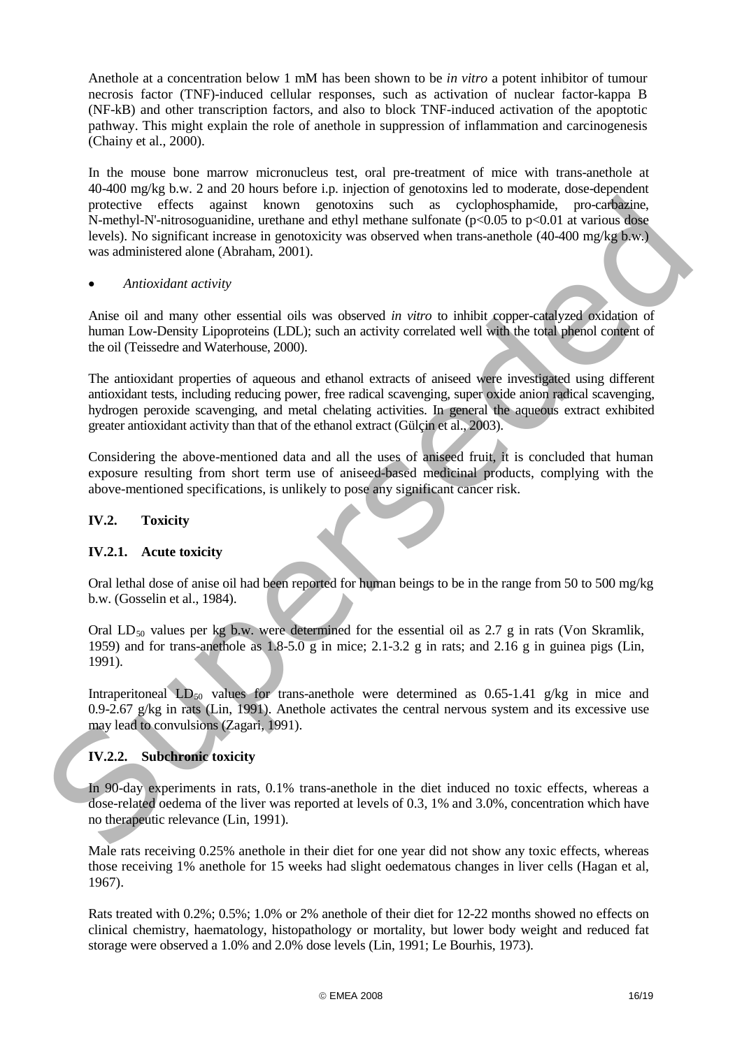Anethole at a concentration below 1 mM has been shown to be *in vitro* a potent inhibitor of tumour necrosis factor (TNF)-induced cellular responses, such as activation of nuclear factor-kappa B (NF-kB) and other transcription factors, and also to block TNF-induced activation of the apoptotic pathway. This might explain the role of anethole in suppression of inflammation and carcinogenesis (Chainy et al., 2000).

In the mouse bone marrow micronucleus test, oral pre-treatment of mice with trans-anethole at 40-400 mg/kg b.w. 2 and 20 hours before i.p. injection of genotoxins led to moderate, dose-dependent protective effects against known genotoxins such as cyclophosphamide, pro-carbazine, N-methyl-N'-nitrosoguanidine, urethane and ethyl methane sulfonate  $(p<0.05$  to  $p<0.01$  at various dose levels). No significant increase in genotoxicity was observed when trans-anethole (40-400 mg/kg b.w.) was administered alone (Abraham, 2001). protective effects against known protocoline and as  $\sim$  cylichopholonical protocoline (p-0.05 to p-0.01 at version slow<br>the S-anethy-P-V mitrosequanidate urethane and eithy metallical growton (p-0.05 to p-0.01) at versio

### • *Antioxidant activity*

Anise oil and many other essential oils was observed *in vitro* to inhibit copper-catalyzed oxidation of human Low-Density Lipoproteins (LDL); such an activity correlated well with the total phenol content of the oil (Teissedre and Waterhouse, 2000).

The antioxidant properties of aqueous and ethanol extracts of aniseed were investigated using different antioxidant tests, including reducing power, free radical scavenging, super oxide anion radical scavenging, hydrogen peroxide scavenging, and metal chelating activities. In general the aqueous extract exhibited greater antioxidant activity than that of the ethanol extract (Gülçin et al., 2003).

Considering the above-mentioned data and all the uses of aniseed fruit, it is concluded that human exposure resulting from short term use of aniseed-based medicinal products, complying with the above-mentioned specifications, is unlikely to pose any significant cancer risk.

### **IV.2. Toxicity**

### **IV.2.1. Acute toxicity**

Oral lethal dose of anise oil had been reported for human beings to be in the range from 50 to 500 mg/kg b.w. (Gosselin et al., 1984).

Oral  $LD_{50}$  values per kg b.w. were determined for the essential oil as 2.7 g in rats (Von Skramlik, 1959) and for trans-anethole as 1.8-5.0 g in mice; 2.1-3.2 g in rats; and 2.16 g in guinea pigs (Lin, 1991).

Intraperitoneal  $LD_{50}$  values for trans-anethole were determined as 0.65-1.41 g/kg in mice and 0.9-2.67 g/kg in rats (Lin, 1991). Anethole activates the central nervous system and its excessive use may lead to convulsions (Zagari, 1991).

# **IV.2.2. Subchronic toxicity**

In 90-day experiments in rats, 0.1% trans-anethole in the diet induced no toxic effects, whereas a dose-related oedema of the liver was reported at levels of 0.3, 1% and 3.0%, concentration which have no therapeutic relevance (Lin, 1991).

Male rats receiving 0.25% anethole in their diet for one year did not show any toxic effects, whereas those receiving 1% anethole for 15 weeks had slight oedematous changes in liver cells (Hagan et al, 1967).

Rats treated with 0.2%; 0.5%; 1.0% or 2% anethole of their diet for 12-22 months showed no effects on clinical chemistry, haematology, histopathology or mortality, but lower body weight and reduced fat storage were observed a 1.0% and 2.0% dose levels (Lin, 1991; Le Bourhis, 1973).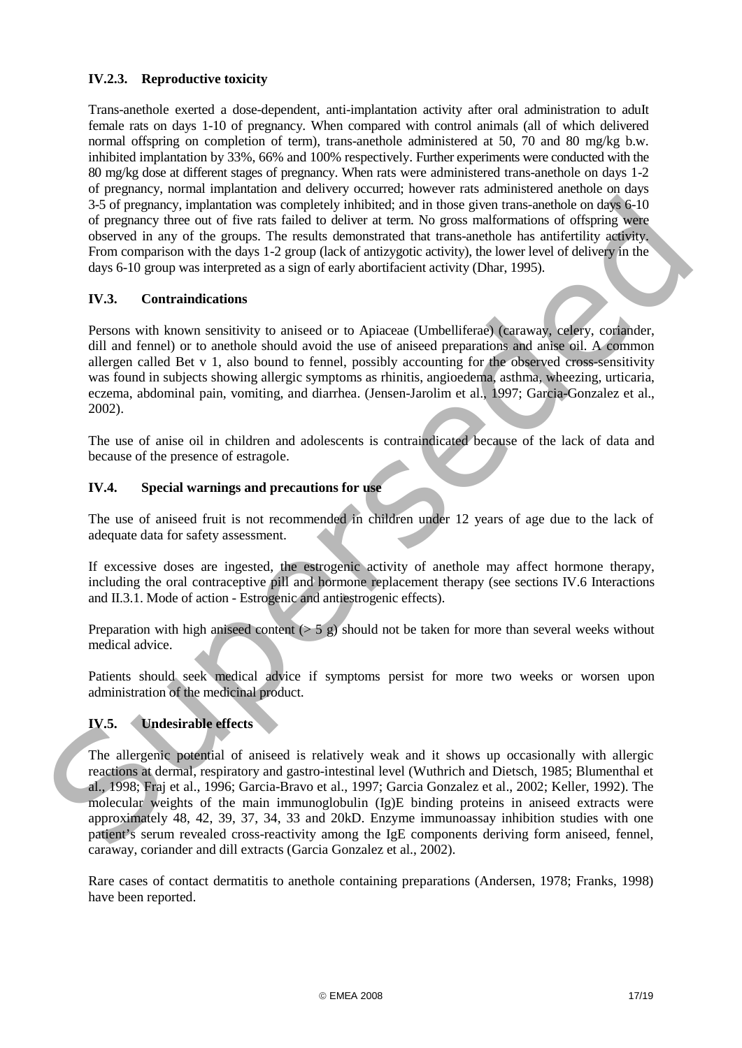# **IV.2.3. Reproductive toxicity**

Trans-anethole exerted a dose-dependent, anti-implantation activity after oral administration to aduIt female rats on days 1-10 of pregnancy. When compared with control animals (all of which delivered normal offspring on completion of term), trans-anethole administered at 50, 70 and 80 mg/kg b.w. inhibited implantation by 33%, 66% and 100% respectively. Further experiments were conducted with the 80 mg/kg dose at different stages of pregnancy. When rats were administered trans-anethole on days 1-2 of pregnancy, normal implantation and delivery occurred; however rats administered anethole on days 3-5 of pregnancy, implantation was completely inhibited; and in those given trans*-*anethole on days 6-10 of pregnancy three out of five rats failed to deliver at term. No gross malformations of offspring were observed in any of the groups. The results demonstrated that trans-anethole has antifertility activity. From comparison with the days 1-2 group (lack of antizygotic activity), the lower level of delivery in the days 6-10 group was interpreted as a sign of early abortifacient activity (Dhar, 1995).

# **IV.3. Contraindications**

Persons with known sensitivity to aniseed or to Apiaceae (Umbelliferae) (caraway, celery, coriander, dill and fennel) or to anethole should avoid the use of aniseed preparations and anise oil. A common allergen called Bet v 1, also bound to fennel, possibly accounting for the observed cross-sensitivity was found in subjects showing allergic symptoms as rhinitis, angioedema, asthma, wheezing, urticaria, eczema, abdominal pain, vomiting, and diarrhea. (Jensen-Jarolim et al., 1997; Garcia-Gonzalez et al., 2002).

The use of anise oil in children and adolescents is contraindicated because of the lack of data and because of the presence of estragole.

# **IV.4. Special warnings and precautions for use**

The use of aniseed fruit is not recommended in children under 12 years of age due to the lack of adequate data for safety assessment.

If excessive doses are ingested, the estrogenic activity of anethole may affect hormone therapy, including the oral contraceptive pill and hormone replacement therapy (see sections IV.6 Interactions and II.3.1. Mode of action - Estrogenic and antiestrogenic effects).

Preparation with high aniseed content  $(55 \text{ g})$  should not be taken for more than several weeks without medical advice.

Patients should seek medical advice if symptoms persist for more two weeks or worsen upon administration of the medicinal product.

# **IV.5. Undesirable effects**

The allergenic potential of aniseed is relatively weak and it shows up occasionally with allergic reactions at dermal, respiratory and gastro-intestinal level (Wuthrich and Dietsch, 1985; Blumenthal et al., 1998; Fraj et al., 1996; Garcia-Bravo et al., 1997; Garcia Gonzalez et al., 2002; Keller, 1992). The molecular weights of the main immunoglobulin (Ig)E binding proteins in aniseed extracts were approximately 48, 42, 39, 37, 34, 33 and 20kD. Enzyme immunoassay inhibition studies with one patient's serum revealed cross-reactivity among the IgE components deriving form aniseed, fennel, caraway, coriander and dill extracts (Garcia Gonzalez et al., 2002). 25 of pregnancy intendicito was completely initiated; and in those given trans-anellole of they be in the property. In the case for the case for the property of prediction and the spectral in any of the case of dispingity

Rare cases of contact dermatitis to anethole containing preparations (Andersen, 1978; Franks, 1998) have been reported.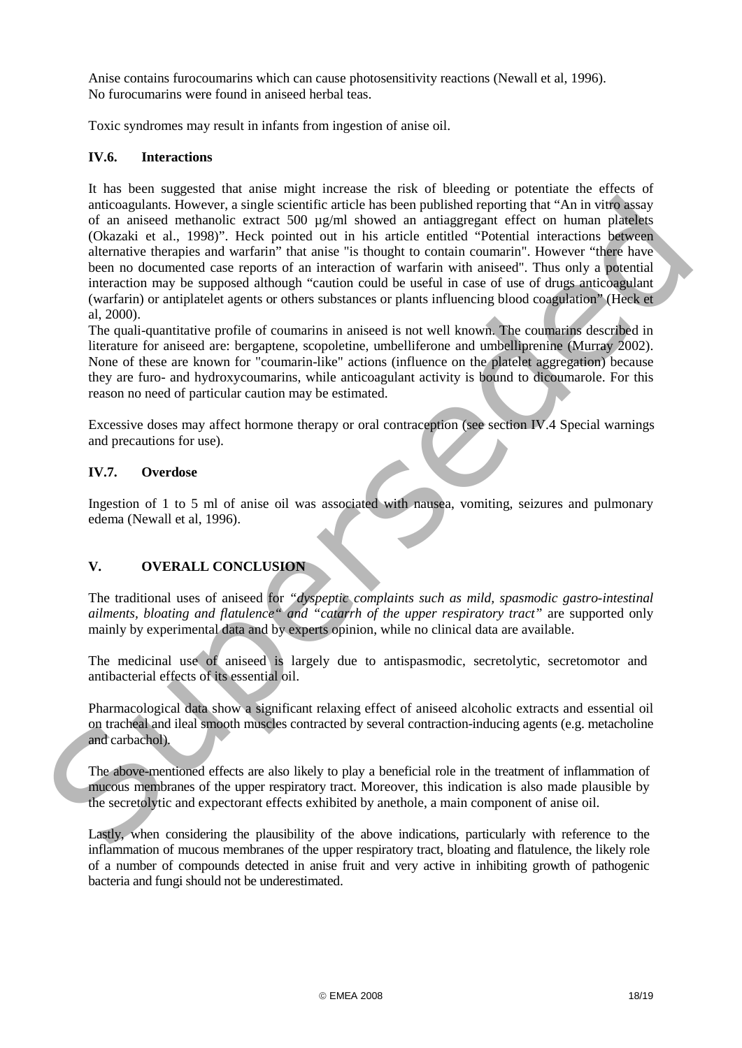Anise contains furocoumarins which can cause photosensitivity reactions (Newall et al, 1996). No furocumarins were found in aniseed herbal teas.

Toxic syndromes may result in infants from ingestion of anise oil.

## **IV.6. Interactions**

It has been suggested that anise might increase the risk of bleeding or potentiate the effects of anticoagulants. However, a single scientific article has been published reporting that "An in vitro assay of an aniseed methanolic extract 500  $\mu$ g/ml showed an antiaggregant effect on human platelets (Okazaki et al., 1998)". Heck pointed out in his article entitled "Potential interactions between alternative therapies and warfarin" that anise "is thought to contain coumarin". However "there have been no documented case reports of an interaction of warfarin with aniseed". Thus only a potential interaction may be supposed although "caution could be useful in case of use of drugs anticoagulant (warfarin) or antiplatelet agents or others substances or plants influencing blood coagulation" (Heck et al, 2000). anticoupled into the standard interlefect and the selection and published powering that "An in virto users (Detailed the acts and powering the standard interaction spheres of control and the standard or the interaction of

The quali-quantitative profile of coumarins in aniseed is not well known. The coumarins described in literature for aniseed are: bergaptene, scopoletine, umbelliferone and umbelliprenine (Murray 2002). None of these are known for "coumarin-like" actions (influence on the platelet aggregation) because they are furo- and hydroxycoumarins, while anticoagulant activity is bound to dicoumarole. For this reason no need of particular caution may be estimated.

Excessive doses may affect hormone therapy or oral contraception (see section IV.4 Special warnings and precautions for use).

### **IV.7. Overdose**

Ingestion of 1 to 5 ml of anise oil was associated with nausea, vomiting, seizures and pulmonary edema (Newall et al, 1996).

# **V. OVERALL CONCLUSION**

The traditional uses of aniseed for *"dyspeptic complaints such as mild, spasmodic gastro-intestinal ailments, bloating and flatulence" and "catarrh of the upper respiratory tract"* are supported only mainly by experimental data and by experts opinion, while no clinical data are available.

The medicinal use of aniseed is largely due to antispasmodic, secretolytic, secretomotor and antibacterial effects of its essential oil.

Pharmacological data show a significant relaxing effect of aniseed alcoholic extracts and essential oil on tracheal and ileal smooth muscles contracted by several contraction-inducing agents (e.g. metacholine and carbachol).

The above-mentioned effects are also likely to play a beneficial role in the treatment of inflammation of mucous membranes of the upper respiratory tract. Moreover, this indication is also made plausible by the secretolytic and expectorant effects exhibited by anethole, a main component of anise oil.

Lastly, when considering the plausibility of the above indications, particularly with reference to the inflammation of mucous membranes of the upper respiratory tract, bloating and flatulence, the likely role of a number of compounds detected in anise fruit and very active in inhibiting growth of pathogenic bacteria and fungi should not be underestimated.